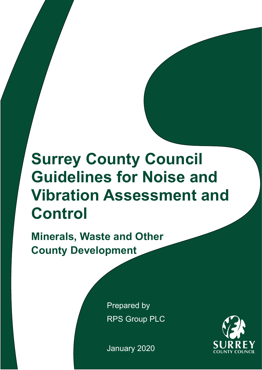# **Surrey County Council Guidelines for Noise and Vibration Assessment and Control**

**Minerals, Waste and Other County Development**

> Prepared by RPS Group PLC

January 2020

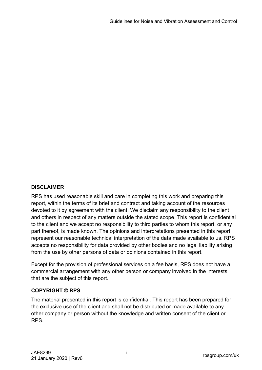# **DISCLAIMER**

RPS has used reasonable skill and care in completing this work and preparing this report, within the terms of its brief and contract and taking account of the resources devoted to it by agreement with the client. We disclaim any responsibility to the client and others in respect of any matters outside the stated scope. This report is confidential to the client and we accept no responsibility to third parties to whom this report, or any part thereof, is made known. The opinions and interpretations presented in this report represent our reasonable technical interpretation of the data made available to us. RPS accepts no responsibility for data provided by other bodies and no legal liability arising from the use by other persons of data or opinions contained in this report.

Except for the provision of professional services on a fee basis, RPS does not have a commercial arrangement with any other person or company involved in the interests that are the subject of this report.

#### **COPYRIGHT © RPS**

The material presented in this report is confidential. This report has been prepared for the exclusive use of the client and shall not be distributed or made available to any other company or person without the knowledge and written consent of the client or RPS.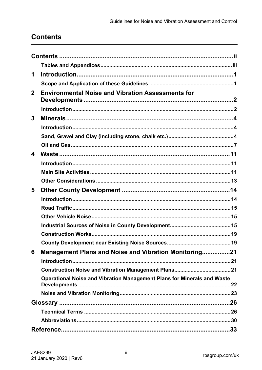# <span id="page-2-0"></span>**Contents**

| <b>Management Plans and Noise and Vibration Monitoring21</b>            |
|-------------------------------------------------------------------------|
|                                                                         |
|                                                                         |
| Operational Noise and Vibration Management Plans for Minerals and Waste |
|                                                                         |
|                                                                         |
|                                                                         |
|                                                                         |
|                                                                         |
|                                                                         |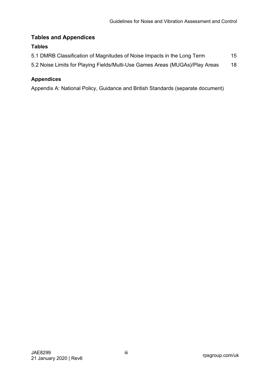# <span id="page-3-0"></span>**Tables and Appendices**

#### **Tables**

| 5.1 DMRB Classification of Magnitudes of Noise Impacts in the Long Term      | 15 |
|------------------------------------------------------------------------------|----|
| 5.2 Noise Limits for Playing Fields/Multi-Use Games Areas (MUGAs)/Play Areas | 18 |

## **Appendices**

Appendix A: National Policy, Guidance and British Standards (separate document)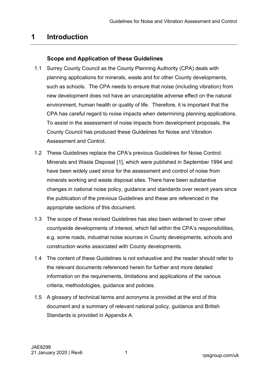# <span id="page-4-0"></span>**1 Introduction**

# **Scope and Application of these Guidelines**

- <span id="page-4-1"></span>1.1 Surrey County Council as the County Planning Authority (CPA) deals with planning applications for minerals, waste and for other County developments, such as schools. The CPA needs to ensure that noise (including vibration) from new development does not have an unacceptable adverse effect on the natural environment, human health or quality of life. Therefore, it is important that the CPA has careful regard to noise impacts when determining planning applications. To assist in the assessment of noise impacts from development proposals, the County Council has produced these Guidelines for Noise and Vibration Assessment and Control.
- <span id="page-4-2"></span>1.2 These Guidelines replace the CPA's previous Guidelines for Noise Control: Minerals and Waste Disposal [[1\]](#page-36-1), which were published in September 1994 and have been widely used since for the assessment and control of noise from minerals working and waste disposal sites. There have been substantive changes in national noise policy, guidance and standards over recent years since the publication of the previous Guidelines and these are referenced in the appropriate sections of this document.
- 1.3 The scope of these revised Guidelines has also been widened to cover other countywide developments of interest, which fall within the CPA's responsibilities, e.g. some roads, industrial noise sources in County developments, schools and construction works associated with County developments.
- 1.4 The content of these Guidelines is not exhaustive and the reader should refer to the relevant documents referenced herein for further and more detailed information on the requirements, limitations and applications of the various criteria, methodologies, guidance and policies.
- 1.5 A glossary of technical terms and acronyms is provided at the end of this document and a summary of relevant national policy, guidance and British Standards is provided in Appendix A.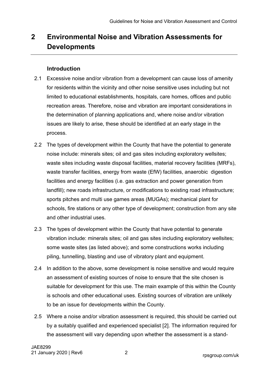# <span id="page-5-0"></span>**2 Environmental Noise and Vibration Assessments for Developments**

#### **Introduction**

- <span id="page-5-1"></span>2.1 Excessive noise and/or vibration from a development can cause loss of amenity for residents within the vicinity and other noise sensitive uses including but not limited to educational establishments, hospitals, care homes, offices and public recreation areas. Therefore, noise and vibration are important considerations in the determination of planning applications and, where noise and/or vibration issues are likely to arise, these should be identified at an early stage in the process.
- 2.2 The types of development within the County that have the potential to generate noise include: minerals sites; oil and gas sites including exploratory wellsites; waste sites including waste disposal facilities, material recovery facilities (MRFs), waste transfer facilities, energy from waste (EfW) facilities, anaerobic digestion facilities and energy facilities (i.e. gas extraction and power generation from landfill); new roads infrastructure, or modifications to existing road infrastructure; sports pitches and multi use games areas (MUGAs); mechanical plant for schools, fire stations or any other type of development; construction from any site and other industrial uses.
- 2.3 The types of development within the County that have potential to generate vibration include: minerals sites; oil and gas sites including exploratory wellsites; some waste sites (as listed above); and some constructions works including piling, tunnelling, blasting and use of vibratory plant and equipment.
- 2.4 In addition to the above, some development is noise sensitive and would require an assessment of existing sources of noise to ensure that the site chosen is suitable for development for this use. The main example of this within the County is schools and other educational uses. Existing sources of vibration are unlikely to be an issue for developments within the County.
- <span id="page-5-2"></span>2.5 Where a noise and/or vibration assessment is required, this should be carried out by a suitably qualified and experienced specialist [[2\]](#page-36-1). The information required for the assessment will vary depending upon whether the assessment is a stand-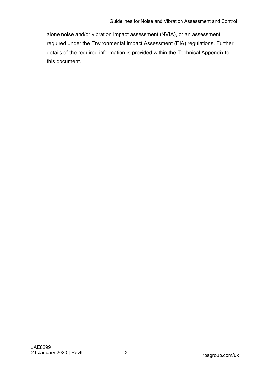alone noise and/or vibration impact assessment (NVIA), or an assessment required under the Environmental Impact Assessment (EIA) regulations. Further details of the required information is provided within the Technical Appendix to this document.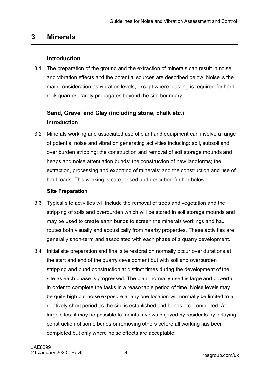# <span id="page-7-0"></span>**3 Minerals**

# **Introduction**

<span id="page-7-1"></span>3.1 The preparation of the ground and the extraction of minerals can result in noise and vibration effects and the potential sources are described below. Noise is the main consideration as vibration levels, except where blasting is required for hard rock quarries, rarely propagates beyond the site boundary.

# <span id="page-7-2"></span>**Sand, Gravel and Clay (including stone, chalk etc.) Introduction**

3.2 Minerals working and associated use of plant and equipment can involve a range of potential noise and vibration generating activities including: soil, subsoil and over burden stripping; the construction and removal of soil storage mounds and heaps and noise attenuation bunds; the construction of new landforms; the extraction, processing and exporting of minerals; and the construction and use of haul roads. This working is categorised and described further below.

# **Site Preparation**

- 3.3 Typical site activities will include the removal of trees and vegetation and the stripping of soils and overburden which will be stored in soil storage mounds and may be used to create earth bunds to screen the minerals workings and haul routes both visually and acoustically from nearby properties. These activities are generally short-term and associated with each phase of a quarry development.
- 3.4 Initial site preparation and final site restoration normally occur over durations at the start and end of the quarry development but with soil and overburden stripping and bund construction at distinct times during the development of the site as each phase is progressed. The plant normally used is large and powerful in order to complete the tasks in a reasonable period of time. Noise levels may be quite high but noise exposure at any one location will normally be limited to a relatively short period as the site is established and bunds etc. completed. At large sites, it may be possible to maintain views enjoyed by residents by delaying construction of some bunds or removing others before all working has been completed but only where noise effects are acceptable.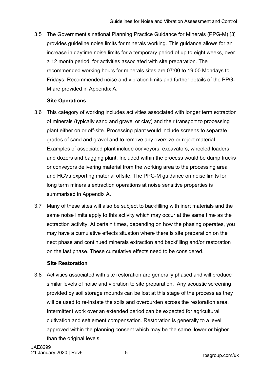3.5 The Government's national Planning Practice Guidance for Minerals (PPG-M) [[3\]](#page-36-1) provides guideline noise limits for minerals working. This guidance allows for an increase in daytime noise limits for a temporary period of up to eight weeks, over a 12 month period, for activities associated with site preparation. The recommended working hours for minerals sites are 07:00 to 19:00 Mondays to Fridays. Recommended noise and vibration limits and further details of the PPG-M are provided in Appendix A.

#### <span id="page-8-0"></span>**Site Operations**

- 3.6 This category of working includes activities associated with longer term extraction of minerals (typically sand and gravel or clay) and their transport to processing plant either on or off-site. Processing plant would include screens to separate grades of sand and gravel and to remove any oversize or reject material. Examples of associated plant include conveyors, excavators, wheeled loaders and dozers and bagging plant. Included within the process would be dump trucks or conveyors delivering material from the working area to the processing area and HGVs exporting material offsite. The PPG-M guidance on noise limits for long term minerals extraction operations at noise sensitive properties is summarised in Appendix A.
- 3.7 Many of these sites will also be subject to backfilling with inert materials and the same noise limits apply to this activity which may occur at the same time as the extraction activity. At certain times, depending on how the phasing operates, you may have a cumulative effects situation where there is site preparation on the next phase and continued minerals extraction and backfilling and/or restoration on the last phase. These cumulative effects need to be considered.

#### **Site Restoration**

3.8 Activities associated with site restoration are generally phased and will produce similar levels of noise and vibration to site preparation. Any acoustic screening provided by soil storage mounds can be lost at this stage of the process as they will be used to re-instate the soils and overburden across the restoration area. Intermittent work over an extended period can be expected for agricultural cultivation and settlement compensation. Restoration is generally to a level approved within the planning consent which may be the same, lower or higher than the original levels.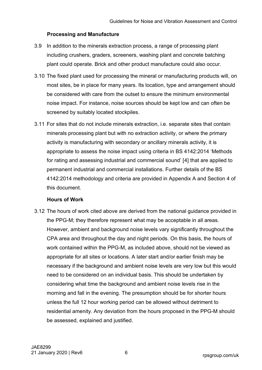#### **Processing and Manufacture**

- 3.9 In addition to the minerals extraction process, a range of processing plant including crushers, graders, screeners, washing plant and concrete batching plant could operate. Brick and other product manufacture could also occur.
- 3.10 The fixed plant used for processing the mineral or manufacturing products will, on most sites, be in place for many years. Its location, type and arrangement should be considered with care from the outset to ensure the minimum environmental noise impact. For instance, noise sources should be kept low and can often be screened by suitably located stockpiles.
- 3.11 For sites that do not include minerals extraction, i.e. separate sites that contain minerals processing plant but with no extraction activity, or where the primary activity is manufacturing with secondary or ancillary minerals activity, it is appropriate to assess the noise impact using criteria in BS 4142:2014 'Methods for rating and assessing industrial and commercial sound' [[4\]](#page-36-1) that are applied to permanent industrial and commercial installations. Further details of the BS 4142:2014 methodology and criteria are provided in Appendix A and Section 4 of this document.

#### <span id="page-9-0"></span>**Hours of Work**

3.12 The hours of work cited above are derived from the national guidance provided in the PPG-M; they therefore represent what may be acceptable in all areas. However, ambient and background noise levels vary significantly throughout the CPA area and throughout the day and night periods. On this basis, the hours of work contained within the PPG-M, as included above, should not be viewed as appropriate for all sites or locations. A later start and/or earlier finish may be necessary if the background and ambient noise levels are very low but this would need to be considered on an individual basis. This should be undertaken by considering what time the background and ambient noise levels rise in the morning and fall in the evening. The presumption should be for shorter hours unless the full 12 hour working period can be allowed without detriment to residential amenity. Any deviation from the hours proposed in the PPG-M should be assessed, explained and justified.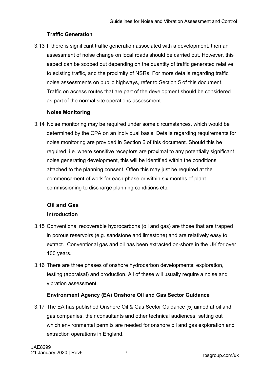#### **Traffic Generation**

3.13 If there is significant traffic generation associated with a development, then an assessment of noise change on local roads should be carried out. However, this aspect can be scoped out depending on the quantity of traffic generated relative to existing traffic, and the proximity of NSRs. For more details regarding traffic noise assessments on public highways, refer to Section 5 of this document. Traffic on access routes that are part of the development should be considered as part of the normal site operations assessment.

#### **Noise Monitoring**

3.14 Noise monitoring may be required under some circumstances, which would be determined by the CPA on an individual basis. Details regarding requirements for noise monitoring are provided in Section 6 of this document. Should this be required, i.e. where sensitive receptors are proximal to any potentially significant noise generating development, this will be identified within the conditions attached to the planning consent. Often this may just be required at the commencement of work for each phase or within six months of plant commissioning to discharge planning conditions etc.

# <span id="page-10-0"></span>**Oil and Gas Introduction**

- 3.15 Conventional recoverable hydrocarbons (oil and gas) are those that are trapped in porous reservoirs (e.g. sandstone and limestone) and are relatively easy to extract. Conventional gas and oil has been extracted on-shore in the UK for over 100 years.
- 3.16 There are three phases of onshore hydrocarbon developments: exploration, testing (appraisal) and production. All of these will usually require a noise and vibration assessment.

#### <span id="page-10-1"></span>**Environment Agency (EA) Onshore Oil and Gas Sector Guidance**

3.17 The EA has published Onshore Oil & Gas Sector Guidance [[5](#page-36-1)] aimed at oil and gas companies, their consultants and other technical audiences, setting out which environmental permits are needed for onshore oil and gas exploration and extraction operations in England.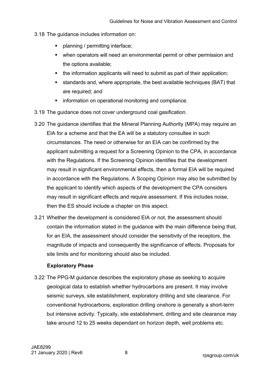- 3.18 The guidance includes information on:
	- **•** planning / permitting interface;
	- when operators will need an environmental permit or other permission and the options available;
	- the information applicants will need to submit as part of their application;
	- standards and, where appropriate, the best available techniques (BAT) that are required; and
	- **information on operational monitoring and compliance.**
- 3.19 The guidance does not cover underground coal gasification.
- 3.20 The guidance identifies that the Mineral Planning Authority (MPA) may require an EIA for a scheme and that the EA will be a statutory consultee in such circumstances. The need or otherwise for an EIA can be confirmed by the applicant submitting a request for a Screening Opinion to the CPA, in accordance with the Regulations. If the Screening Opinion identifies that the development may result in significant environmental effects, then a formal EIA will be required in accordance with the Regulations. A Scoping Opinion may also be submitted by the applicant to identify which aspects of the development the CPA considers may result in significant effects and require assessment. If this includes noise, then the ES should include a chapter on this aspect.
- 3.21 Whether the development is considered EIA or not, the assessment should contain the information stated in the guidance with the main difference being that, for an EIA, the assessment should consider the sensitivity of the receptors, the magnitude of impacts and consequently the significance of effects. Proposals for site limits and for monitoring should also be included.

#### **Exploratory Phase**

3.22 The PPG-M guidance describes the exploratory phase as seeking to acquire geological data to establish whether hydrocarbons are present. It may involve seismic surveys, site establishment, exploratory drilling and site clearance. For conventional hydrocarbons, exploration drilling onshore is generally a short-term but intensive activity. Typically, site establishment, drilling and site clearance may take around 12 to 25 weeks dependant on horizon depth, well problems etc.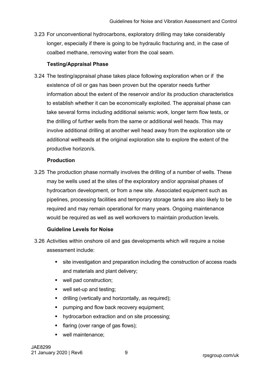3.23 For unconventional hydrocarbons, exploratory drilling may take considerably longer, especially if there is going to be hydraulic fracturing and, in the case of coalbed methane, removing water from the coal seam.

#### **Testing/Appraisal Phase**

3.24 The testing/appraisal phase takes place following exploration when or if the existence of oil or gas has been proven but the operator needs further information about the extent of the reservoir and/or its production characteristics to establish whether it can be economically exploited. The appraisal phase can take several forms including additional seismic work, longer term flow tests, or the drilling of further wells from the same or additional well heads. This may involve additional drilling at another well head away from the exploration site or additional wellheads at the original exploration site to explore the extent of the productive horizon/s.

#### **Production**

3.25 The production phase normally involves the drilling of a number of wells. These may be wells used at the sites of the exploratory and/or appraisal phases of hydrocarbon development, or from a new site. Associated equipment such as pipelines, processing facilities and temporary storage tanks are also likely to be required and may remain operational for many years. Ongoing maintenance would be required as well as well workovers to maintain production levels.

#### **Guideline Levels for Noise**

- 3.26 Activities within onshore oil and gas developments which will require a noise assessment include:
	- **site investigation and preparation including the construction of access roads** and materials and plant delivery;
	- well pad construction;
	- well set-up and testing;
	- drilling (vertically and horizontally, as required);
	- **pumping and flow back recovery equipment;**
	- hydrocarbon extraction and on site processing;
	- flaring (over range of gas flows);
	- well maintenance;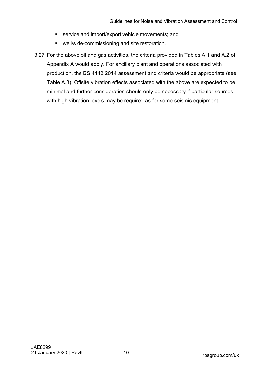- **service and import/export vehicle movements; and**
- **•** well/s de-commissioning and site restoration.
- 3.27 For the above oil and gas activities, the criteria provided in Tables A.1 and A.2 of Appendix A would apply. For ancillary plant and operations associated with production, the BS 4142:2014 assessment and criteria would be appropriate (see Table A.3). Offsite vibration effects associated with the above are expected to be minimal and further consideration should only be necessary if particular sources with high vibration levels may be required as for some seismic equipment.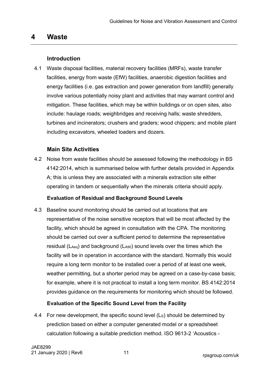# <span id="page-14-0"></span>**4 Waste**

## **Introduction**

<span id="page-14-1"></span>4.1 Waste disposal facilities, material recovery facilities (MRFs), waste transfer facilities, energy from waste (EfW) facilities, anaerobic digestion facilities and energy facilities (i.e. gas extraction and power generation from landfill) generally involve various potentially noisy plant and activities that may warrant control and mitigation. These facilities, which may be within buildings or on open sites, also include: haulage roads; weighbridges and receiving halls; waste shredders, turbines and incinerators; crushers and graders; wood chippers; and mobile plant including excavators, wheeled loaders and dozers.

# **Main Site Activities**

<span id="page-14-2"></span>4.2 Noise from waste facilities should be assessed following the methodology in BS 4142:2014, which is summarised below with further details provided in Appendix A; this is unless they are associated with a minerals extraction site either operating in tandem or sequentially when the minerals criteria should apply.

#### **Evaluation of Residual and Background Sound Levels**

4.3 Baseline sound monitoring should be carried out at locations that are representative of the noise sensitive receptors that will be most affected by the facility, which should be agreed in consultation with the CPA. The monitoring should be carried out over a sufficient period to determine the representative residual (LAeq) and background (LA90) sound levels over the times which the facility will be in operation in accordance with the standard. Normally this would require a long term monitor to be installed over a period of at least one week, weather permitting, but a shorter period may be agreed on a case-by-case basis; for example, where it is not practical to install a long term monitor. BS 4142:2014 provides guidance on the requirements for monitoring which should be followed.

# **Evaluation of the Specific Sound Level from the Facility**

4.4 For new development, the specific sound level (Ls) should be determined by prediction based on either a computer generated model or a spreadsheet calculation following a suitable prediction method. ISO 9613-2 'Acoustics -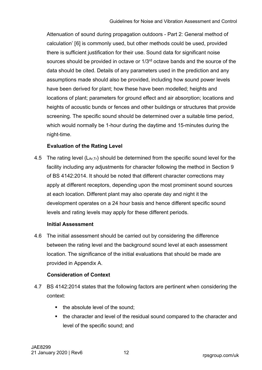<span id="page-15-0"></span>Attenuation of sound during propagation outdoors - Part 2: General method of calculation' [[6\]](#page-36-1) is commonly used, but other methods could be used, provided there is sufficient justification for their use. Sound data for significant noise sources should be provided in octave or 1/3<sup>rd</sup> octave bands and the source of the data should be cited. Details of any parameters used in the prediction and any assumptions made should also be provided, including how sound power levels have been derived for plant; how these have been modelled; heights and locations of plant; parameters for ground effect and air absorption; locations and heights of acoustic bunds or fences and other buildings or structures that provide screening. The specific sound should be determined over a suitable time period, which would normally be 1-hour during the daytime and 15-minutes during the night-time.

#### **Evaluation of the Rating Level**

4.5 The rating level  $(L_{Ar,Tr})$  should be determined from the specific sound level for the facility including any adjustments for character following the method in Section 9 of BS 4142:2014. It should be noted that different character corrections may apply at different receptors, depending upon the most prominent sound sources at each location. Different plant may also operate day and night it the development operates on a 24 hour basis and hence different specific sound levels and rating levels may apply for these different periods.

#### **Initial Assessment**

4.6 The initial assessment should be carried out by considering the difference between the rating level and the background sound level at each assessment location. The significance of the initial evaluations that should be made are provided in Appendix A.

#### **Consideration of Context**

- 4.7 BS 4142:2014 states that the following factors are pertinent when considering the context:
	- the absolute level of the sound:
	- the character and level of the residual sound compared to the character and level of the specific sound; and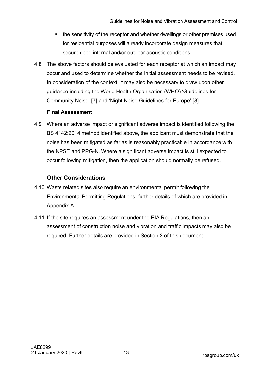- the sensitivity of the receptor and whether dwellings or other premises used for residential purposes will already incorporate design measures that secure good internal and/or outdoor acoustic conditions.
- 4.8 The above factors should be evaluated for each receptor at which an impact may occur and used to determine whether the initial assessment needs to be revised. In consideration of the context, it may also be necessary to draw upon other guidance including the World Health Organisation (WHO) 'Guidelines for Community Noise' [[7\]](#page-36-1) and 'Night Noise Guidelines for Europe' [\[8](#page-36-1)].

#### <span id="page-16-2"></span><span id="page-16-1"></span>**Final Assessment**

4.9 Where an adverse impact or significant adverse impact is identified following the BS 4142:2014 method identified above, the applicant must demonstrate that the noise has been mitigated as far as is reasonably practicable in accordance with the NPSE and PPG-N. Where a significant adverse impact is still expected to occur following mitigation, then the application should normally be refused.

## **Other Considerations**

- <span id="page-16-0"></span>4.10 Waste related sites also require an environmental permit following the Environmental Permitting Regulations, further details of which are provided in Appendix A.
- 4.11 If the site requires an assessment under the EIA Regulations, then an assessment of construction noise and vibration and traffic impacts may also be required. Further details are provided in Section 2 of this document.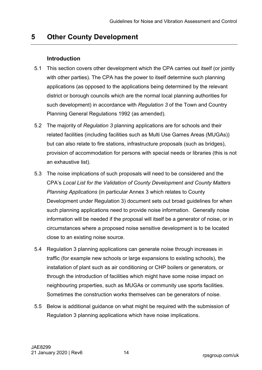# <span id="page-17-0"></span>**5 Other County Development**

#### **Introduction**

- <span id="page-17-1"></span>5.1 This section covers other development which the CPA carries out itself (or jointly with other parties). The CPA has the power to itself determine such planning applications (as opposed to the applications being determined by the relevant district or borough councils which are the normal local planning authorities for such development) in accordance with *Regulation 3* of the Town and Country Planning General Regulations 1992 (as amended).
- 5.2 The majority of *Regulation 3* planning applications are for schools and their related facilities (including facilities such as Multi Use Games Areas (MUGAs)) but can also relate to fire stations, infrastructure proposals (such as bridges), provision of accommodation for persons with special needs or libraries (this is not an exhaustive list).
- 5.3 The noise implications of such proposals will need to be considered and the CPA's *Local List for the Validation of County Development and County Matters Planning Applications* (in particular Annex 3 which relates to County Development under Regulation 3) document sets out broad guidelines for when such planning applications need to provide noise information. Generally noise information will be needed if the proposal will itself be a generator of noise, or in circumstances where a proposed noise sensitive development is to be located close to an existing noise source.
- 5.4 Regulation 3 planning applications can generate noise through increases in traffic (for example new schools or large expansions to existing schools), the installation of plant such as air conditioning or CHP boilers or generators, or through the introduction of facilities which might have some noise impact on neighbouring properties, such as MUGAs or community use sports facilities. Sometimes the construction works themselves can be generators of noise.
- 5.5 Below is additional guidance on what might be required with the submission of Regulation 3 planning applications which have noise implications.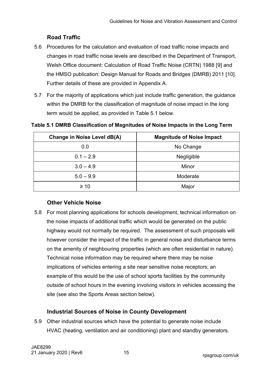# <span id="page-18-5"></span><span id="page-18-4"></span>**Road Traffic**

- <span id="page-18-0"></span>5.6 Procedures for the calculation and evaluation of road traffic noise impacts and changes in road traffic noise levels are described in the Department of Transport, Welsh Office document: Calculation of Road Traffic Noise (CRTN) 1988 [[9](#page-36-1)] and the HMSO publication: Design Manual for Roads and Bridges (DMRB) 2011 [\[10\]](#page-36-1). Further details of these are provided in Appendix A.
- 5.7 For the majority of applications which just include traffic generation, the guidance within the DMRB for the classification of magnitude of noise impact in the long term would be applied, as provided in [Table 5.1](#page-18-3) below.

| Change in Noise Level dB(A) | <b>Magnitude of Noise Impact</b> |
|-----------------------------|----------------------------------|
| 0.0                         | No Change                        |
| $0.1 - 2.9$                 | Negligible                       |
| $3.0 - 4.9$                 | Minor                            |
| $5.0 - 9.9$                 | Moderate                         |
| $\geq 10$                   | Major                            |

#### <span id="page-18-3"></span>**Table 5.1 DMRB Classification of Magnitudes of Noise Impacts in the Long Term**

# **Other Vehicle Noise**

<span id="page-18-1"></span>5.8 For most planning applications for schools development, technical information on the noise impacts of additional traffic which would be generated on the public highway would not normally be required. The assessment of such proposals will however consider the impact of the traffic in general noise and disturbance terms on the amenity of neighbouring properties (which are often residential in nature). Technical noise information may be required where there may be noise implications of vehicles entering a site near sensitive noise receptors; an example of this would be the use of school sports facilities by the community outside of school hours in the evening involving visitors in vehicles accessing the site (see also the Sports Areas section below).

# **Industrial Sources of Noise in County Development**

<span id="page-18-2"></span>5.9 Other industrial sources which have the potential to generate noise include HVAC (heating, ventilation and air conditioning) plant and standby generators.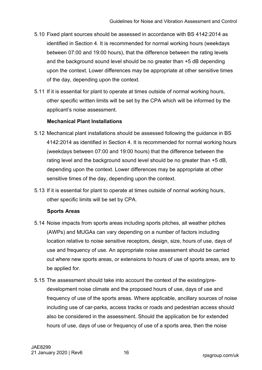- 5.10 Fixed plant sources should be assessed in accordance with BS 4142:2014 as identified in Section 4. It is recommended for normal working hours (weekdays between 07:00 and 19:00 hours), that the difference between the rating levels and the background sound level should be no greater than +5 dB depending upon the context. Lower differences may be appropriate at other sensitive times of the day, depending upon the context.
- 5.11 If it is essential for plant to operate at times outside of normal working hours, other specific written limits will be set by the CPA which will be informed by the applicant's noise assessment.

## **Mechanical Plant Installations**

- 5.12 Mechanical plant installations should be assessed following the guidance in BS 4142:2014 as identified in Section 4. It is recommended for normal working hours (weekdays between 07:00 and 19:00 hours) that the difference between the rating level and the background sound level should be no greater than +5 dB, depending upon the context. Lower differences may be appropriate at other sensitive times of the day, depending upon the context.
- 5.13 If it is essential for plant to operate at times outside of normal working hours, other specific limits will be set by CPA.

#### **Sports Areas**

- 5.14 Noise impacts from sports areas including sports pitches, all weather pitches (AWPs) and MUGAs can vary depending on a number of factors including location relative to noise sensitive receptors, design, size, hours of use, days of use and frequency of use. An appropriate noise assessment should be carried out where new sports areas, or extensions to hours of use of sports areas, are to be applied for.
- 5.15 The assessment should take into account the context of the existing/predevelopment noise climate and the proposed hours of use, days of use and frequency of use of the sports areas. Where applicable, ancillary sources of noise including use of car-parks, access tracks or roads and pedestrian access should also be considered in the assessment. Should the application be for extended hours of use, days of use or frequency of use of a sports area, then the noise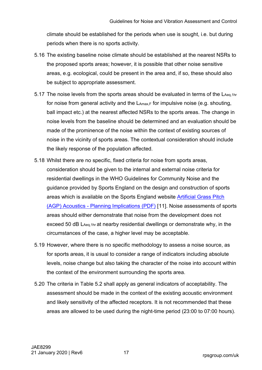climate should be established for the periods when use is sought, i.e. but during periods when there is no sports activity.

- 5.16 The existing baseline noise climate should be established at the nearest NSRs to the proposed sports areas; however, it is possible that other noise sensitive areas, e.g. ecological, could be present in the area and, if so, these should also be subject to appropriate assessment.
- 5.17 The noise levels from the sports areas should be evaluated in terms of the  $L_{Aeq,1hr}$ for noise from general activity and the  $L_{Amax,F}$  for impulsive noise (e.g. shouting, ball impact etc.) at the nearest affected NSRs to the sports areas. The change in noise levels from the baseline should be determined and an evaluation should be made of the prominence of the noise within the context of existing sources of noise in the vicinity of sports areas. The contextual consideration should include the likely response of the population affected.
- 5.18 Whilst there are no specific, fixed criteria for noise from sports areas, consideration should be given to the internal and external noise criteria for residential dwellings in the WHO Guidelines for Community Noise and the guidance provided by Sports England on the design and construction of sports areas which is available on the Sports England website [Artificial Grass Pitch](https://www.sportengland.org/media/4515/agp-acoustics-planning-implications.pdf)  [\(AGP\) Acoustics - Planning Implications \(PDF\)](https://www.sportengland.org/media/4515/agp-acoustics-planning-implications.pdf) [[11](#page-36-1)]. Noise assessments of sports areas should either demonstrate that noise from the development does not exceed 50 dB LAeq, 1hr at nearby residential dwellings or demonstrate why, in the circumstances of the case, a higher level may be acceptable.
- <span id="page-20-0"></span>5.19 However, where there is no specific methodology to assess a noise source, as for sports areas, it is usual to consider a range of indicators including absolute levels, noise change but also taking the character of the noise into account within the context of the environment surrounding the sports area.
- 5.20 The criteria in [Table 5.2](#page-21-0) shall apply as general indicators of acceptability. The assessment should be made in the context of the existing acoustic environment and likely sensitivity of the affected receptors. It is not recommended that these areas are allowed to be used during the night-time period (23:00 to 07:00 hours).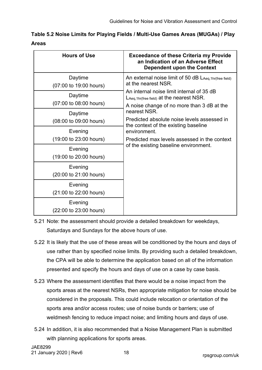<span id="page-21-0"></span>

| Table 5.2 Noise Limits for Playing Fields / Multi-Use Games Areas (MUGAs) / Play |  |
|----------------------------------------------------------------------------------|--|
| Areas                                                                            |  |

| <b>Hours of Use</b>               | <b>Exceedance of these Criteria my Provide</b><br>an Indication of an Adverse Effect<br><b>Dependent upon the Context</b>            |
|-----------------------------------|--------------------------------------------------------------------------------------------------------------------------------------|
| Daytime<br>(07:00 to 19:00 hours) | An external noise limit of 50 dB $\mathsf{L}_{\mathsf{Aeq},\mathsf{1hr(free\,field)}}$<br>at the nearest NSR.                        |
| Daytime<br>(07:00 to 08:00 hours) | An internal noise limit internal of 35 dB<br>LAeq, 1hr(free field) at the nearest NSR.<br>A noise change of no more than 3 dB at the |
| Daytime<br>(08:00 to 09:00 hours) | nearest NSR.<br>Predicted absolute noise levels assessed in<br>the context of the existing baseline                                  |
| Evening<br>(19:00 to 23:00 hours) | environment.<br>Predicted max levels assessed in the context                                                                         |
| Evening<br>(19:00 to 20:00 hours) | of the existing baseline environment.                                                                                                |
| Evening<br>(20:00 to 21:00 hours) |                                                                                                                                      |
| Evening<br>(21:00 to 22:00 hours) |                                                                                                                                      |
| Evening<br>(22:00 to 23:00 hours) |                                                                                                                                      |

- 5.21 Note: the assessment should provide a detailed breakdown for weekdays, Saturdays and Sundays for the above hours of use.
- 5.22 It is likely that the use of these areas will be conditioned by the hours and days of use rather than by specified noise limits. By providing such a detailed breakdown, the CPA will be able to determine the application based on all of the information presented and specify the hours and days of use on a case by case basis.
- 5.23 Where the assessment identifies that there would be a noise impact from the sports areas at the nearest NSRs, then appropriate mitigation for noise should be considered in the proposals. This could include relocation or orientation of the sports area and/or access routes; use of noise bunds or barriers; use of weldmesh fencing to reduce impact noise; and limiting hours and days of use.
- 5.24 In addition, it is also recommended that a Noise Management Plan is submitted with planning applications for sports areas.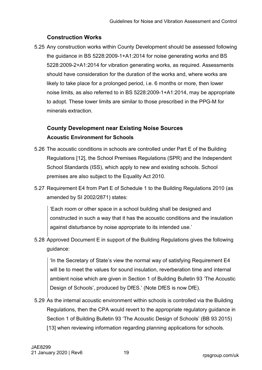# **Construction Works**

<span id="page-22-0"></span>5.25 Any construction works within County Development should be assessed following the guidance in BS 5228:2009-1+A1:2014 for noise generating works and BS 5228:2009-2+A1:2014 for vibration generating works, as required. Assessments should have consideration for the duration of the works and, where works are likely to take place for a prolonged period, i.e. 6 months or more, then lower noise limits, as also referred to in BS 5228:2009-1+A1:2014, may be appropriate to adopt. These lower limits are similar to those prescribed in the PPG-M for minerals extraction.

# <span id="page-22-2"></span><span id="page-22-1"></span>**County Development near Existing Noise Sources Acoustic Environment for Schools**

- 5.26 The acoustic conditions in schools are controlled under Part E of the Building Regulations [[12](#page-36-1)], the School Premises Regulations (SPR) and the Independent School Standards (ISS), which apply to new and existing schools. School premises are also subject to the Equality Act 2010.
- 5.27 Requirement E4 from Part E of Schedule 1 to the Building Regulations 2010 (as amended by SI 2002/2871) states:

'Each room or other space in a school building shall be designed and constructed in such a way that it has the acoustic conditions and the insulation against disturbance by noise appropriate to its intended use.'

5.28 Approved Document E in support of the Building Regulations gives the following guidance:

'In the Secretary of State's view the normal way of satisfying Requirement E4 will be to meet the values for sound insulation, reverberation time and internal ambient noise which are given in Section 1 of Building Bulletin 93 'The Acoustic Design of Schools', produced by DfES.' (Note DfES is now DfE).

<span id="page-22-3"></span>5.29 As the internal acoustic environment within schools is controlled via the Building Regulations, then the CPA would revert to the appropriate regulatory guidance in Section 1 of Building Bulletin 93 'The Acoustic Design of Schools' (BB 93 2015) [[13\]](#page-36-1) when reviewing information regarding planning applications for schools.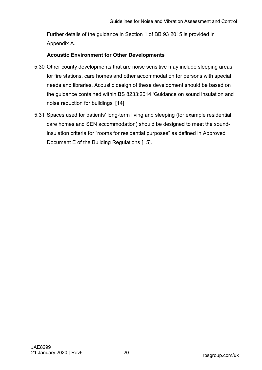Further details of the guidance in Section 1 of BB 93 2015 is provided in Appendix A.

#### **Acoustic Environment for Other Developments**

- 5.30 Other county developments that are noise sensitive may include sleeping areas for fire stations, care homes and other accommodation for persons with special needs and libraries. Acoustic design of these development should be based on the guidance contained within BS 8233:2014 'Guidance on sound insulation and noise reduction for buildings' [\[14](#page-36-1)].
- <span id="page-23-1"></span><span id="page-23-0"></span>5.31 Spaces used for patients' long-term living and sleeping (for example residential care homes and SEN accommodation) should be designed to meet the soundinsulation criteria for "rooms for residential purposes" as defined in Approved Document E of the Building Regulations [[15](#page-37-0)].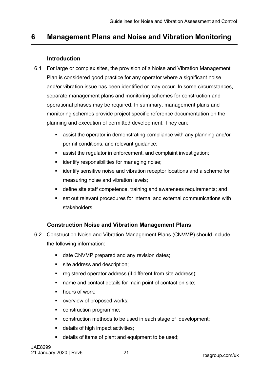# <span id="page-24-0"></span>**6 Management Plans and Noise and Vibration Monitoring**

#### **Introduction**

- <span id="page-24-1"></span>6.1 For large or complex sites, the provision of a Noise and Vibration Management Plan is considered good practice for any operator where a significant noise and/or vibration issue has been identified or may occur. In some circumstances, separate management plans and monitoring schemes for construction and operational phases may be required. In summary, management plans and monitoring schemes provide project specific reference documentation on the planning and execution of permitted development. They can:
	- assist the operator in demonstrating compliance with any planning and/or permit conditions, and relevant guidance;
	- assist the regulator in enforcement, and complaint investigation;
	- **EXEDENT** identify responsibilities for managing noise;
	- **EXT** identify sensitive noise and vibration receptor locations and a scheme for measuring noise and vibration levels;
	- define site staff competence, training and awareness requirements; and
	- set out relevant procedures for internal and external communications with stakeholders.

#### **Construction Noise and Vibration Management Plans**

- <span id="page-24-2"></span>6.2 Construction Noise and Vibration Management Plans (CNVMP) should include the following information:
	- date CNVMP prepared and any revision dates;
	- site address and description;
	- **•** registered operator address (if different from site address);
	- name and contact details for main point of contact on site;
	- hours of work:
	- overview of proposed works;
	- **CONSTRUCTION PROGRAMME;**
	- construction methods to be used in each stage of development;
	- details of high impact activities;
	- details of items of plant and equipment to be used;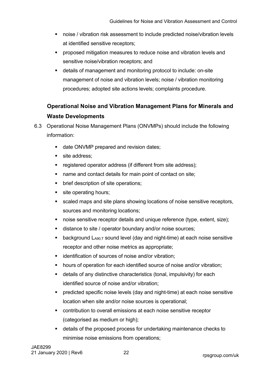- noise / vibration risk assessment to include predicted noise/vibration levels at identified sensitive receptors;
- **•** proposed mitigation measures to reduce noise and vibration levels and sensitive noise/vibration receptors; and
- details of management and monitoring protocol to include: on-site management of noise and vibration levels; noise / vibration monitoring procedures; adopted site actions levels; complaints procedure.

# <span id="page-25-0"></span>**Operational Noise and Vibration Management Plans for Minerals and Waste Developments**

- 6.3 Operational Noise Management Plans (ONVMPs) should include the following information:
	- date ONVMP prepared and revision dates;
	- site address;
	- **•** registered operator address (if different from site address);
	- name and contact details for main point of contact on site;
	- **•** brief description of site operations;
	- site operating hours;
	- scaled maps and site plans showing locations of noise sensitive receptors, sources and monitoring locations;
	- noise sensitive receptor details and unique reference (type, extent, size);
	- distance to site / operator boundary and/or noise sources;
	- **background LA90,T sound level (day and night-time) at each noise sensitive** receptor and other noise metrics as appropriate;
	- **EXECT** identification of sources of noise and/or vibration:
	- **•** hours of operation for each identified source of noise and/or vibration;
	- details of any distinctive characteristics (tonal, impulsivity) for each identified source of noise and/or vibration;
	- predicted specific noise levels (day and night-time) at each noise sensitive location when site and/or noise sources is operational;
	- contribution to overall emissions at each noise sensitive receptor (categorised as medium or high);
	- details of the proposed process for undertaking maintenance checks to minimise noise emissions from operations;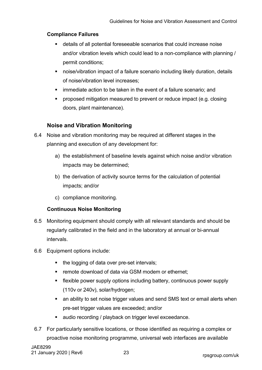#### **Compliance Failures**

- details of all potential foreseeable scenarios that could increase noise and/or vibration levels which could lead to a non-compliance with planning / permit conditions;
- noise/vibration impact of a failure scenario including likely duration, details of noise/vibration level increases;
- immediate action to be taken in the event of a failure scenario; and
- proposed mitigation measured to prevent or reduce impact (e.g. closing doors, plant maintenance).

#### **Noise and Vibration Monitoring**

- <span id="page-26-0"></span>6.4 Noise and vibration monitoring may be required at different stages in the planning and execution of any development for:
	- a) the establishment of baseline levels against which noise and/or vibration impacts may be determined;
	- b) the derivation of activity source terms for the calculation of potential impacts; and/or
	- c) compliance monitoring.

#### **Continuous Noise Monitoring**

- 6.5 Monitoring equipment should comply with all relevant standards and should be regularly calibrated in the field and in the laboratory at annual or bi-annual intervals.
- 6.6 Equipment options include:
	- the logging of data over pre-set intervals;
	- **F** remote download of data via GSM modem or ethernet:
	- flexible power supply options including battery, continuous power supply (110v or 240v), solar/hydrogen;
	- **EXT** an ability to set noise trigger values and send SMS text or email alerts when pre-set trigger values are exceeded; and/or
	- **audio recording / playback on trigger level exceedance.**
- 6.7 For particularly sensitive locations, or those identified as requiring a complex or proactive noise monitoring programme, universal web interfaces are available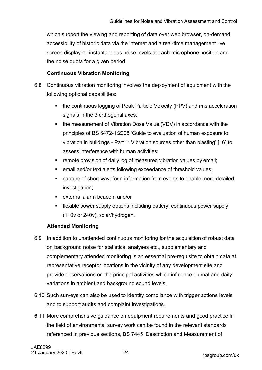which support the viewing and reporting of data over web browser, on-demand accessibility of historic data via the internet and a real-time management live screen displaying instantaneous noise levels at each microphone position and the noise quota for a given period.

#### <span id="page-27-0"></span>**Continuous Vibration Monitoring**

- 6.8 Continuous vibration monitoring involves the deployment of equipment with the following optional capabilities:
	- the continuous logging of Peak Particle Velocity (PPV) and rms acceleration signals in the 3 orthogonal axes;
	- the measurement of Vibration Dose Value (VDV) in accordance with the principles of BS 6472-1:2008 'Guide to evaluation of human exposure to vibration in buildings - Part 1: Vibration sources other than blasting' [[16\]](#page-37-1) to assess interference with human activities;
	- **F** remote provision of daily log of measured vibration values by email;
	- email and/or text alerts following exceedance of threshold values;
	- capture of short waveform information from events to enable more detailed investigation;
	- external alarm beacon; and/or
	- flexible power supply options including battery, continuous power supply (110v or 240v), solar/hydrogen.

#### **Attended Monitoring**

- 6.9 In addition to unattended continuous monitoring for the acquisition of robust data on background noise for statistical analyses etc., supplementary and complementary attended monitoring is an essential pre-requisite to obtain data at representative receptor locations in the vicinity of any development site and provide observations on the principal activities which influence diurnal and daily variations in ambient and background sound levels.
- 6.10 Such surveys can also be used to identify compliance with trigger actions levels and to support audits and complaint investigations.
- 6.11 More comprehensive guidance on equipment requirements and good practice in the field of environmental survey work can be found in the relevant standards referenced in previous sections, BS 7445 'Description and Measurement of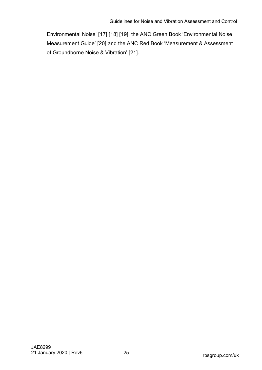<span id="page-28-4"></span><span id="page-28-3"></span><span id="page-28-2"></span><span id="page-28-1"></span><span id="page-28-0"></span>Environmental Noise' [[17](#page-37-2)] [[18](#page-37-3)] [[19](#page-37-4)], the ANC Green Book 'Environmental Noise Measurement Guide' [[20](#page-37-5)] and the ANC Red Book 'Measurement & Assessment of Groundborne Noise & Vibration' [[21\]](#page-37-6).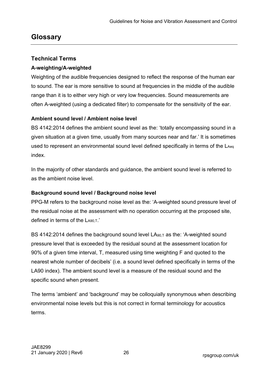# <span id="page-29-0"></span>**Glossary**

# <span id="page-29-1"></span>**Technical Terms**

## **A-weighting/A-weighted**

Weighting of the audible frequencies designed to reflect the response of the human ear to sound. The ear is more sensitive to sound at frequencies in the middle of the audible range than it is to either very high or very low frequencies. Sound measurements are often A-weighted (using a dedicated filter) to compensate for the sensitivity of the ear.

## **Ambient sound level / Ambient noise level**

BS 4142:2014 defines the ambient sound level as the: 'totally encompassing sound in a given situation at a given time, usually from many sources near and far.' It is sometimes used to represent an environmental sound level defined specifically in terms of the LAeq index.

In the majority of other standards and guidance, the ambient sound level is referred to as the ambient noise level.

# **Background sound level / Background noise level**

PPG-M refers to the background noise level as the: 'A-weighted sound pressure level of the residual noise at the assessment with no operation occurring at the proposed site, defined in terms of the LA90.T.'

BS 4142:2014 defines the background sound level  $LA_{90,T}$  as the: 'A-weighted sound pressure level that is exceeded by the residual sound at the assessment location for 90% of a given time interval, T, measured using time weighting F and quoted to the nearest whole number of decibels' (i.e. a sound level defined specifically in terms of the LA90 index). The ambient sound level is a measure of the residual sound and the specific sound when present.

The terms 'ambient' and 'background' may be colloquially synonymous when describing environmental noise levels but this is not correct in formal terminology for acoustics terms.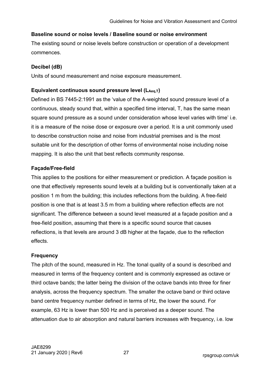#### **Baseline sound or noise levels / Baseline sound or noise environment**

The existing sound or noise levels before construction or operation of a development commences.

#### **Decibel (dB)**

Units of sound measurement and noise exposure measurement.

#### Equivalent continuous sound pressure level (L<sub>Aeq,T</sub>)

Defined in BS 7445-2:1991 as the 'value of the A-weighted sound pressure level of a continuous, steady sound that, within a specified time interval, T, has the same mean square sound pressure as a sound under consideration whose level varies with time' i.e. it is a measure of the noise dose or exposure over a period. It is a unit commonly used to describe construction noise and noise from industrial premises and is the most suitable unit for the description of other forms of environmental noise including noise mapping. It is also the unit that best reflects community response.

#### **Façade/Free-field**

This applies to the positions for either measurement or prediction. A façade position is one that effectively represents sound levels at a building but is conventionally taken at a position 1 m from the building; this includes reflections from the building. A free-field position is one that is at least 3.5 m from a building where reflection effects are not significant. The difference between a sound level measured at a façade position and a free-field position, assuming that there is a specific sound source that causes reflections, is that levels are around 3 dB higher at the façade, due to the reflection effects.

#### **Frequency**

The pitch of the sound, measured in Hz. The tonal quality of a sound is described and measured in terms of the frequency content and is commonly expressed as octave or third octave bands; the latter being the division of the octave bands into three for finer analysis, across the frequency spectrum. The smaller the octave band or third octave band centre frequency number defined in terms of Hz, the lower the sound. For example, 63 Hz is lower than 500 Hz and is perceived as a deeper sound. The attenuation due to air absorption and natural barriers increases with frequency, i.e. low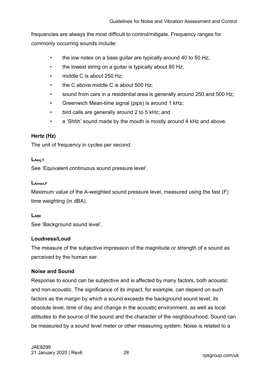frequencies are always the most difficult to control/mitigate. Frequency ranges for commonly occurring sounds include:

- the low notes on a bass guitar are typically around 40 to 50 Hz;
- the lowest string on a guitar is typically about 80 Hz;
- middle C is about 250 Hz:
- the C above middle C is about 500 Hz;
- sound from cars in a residential area is generally around 250 and 500 Hz;
- Greenwich Mean-time signal (pips) is around 1 kHz;
- bird calls are generally around 2 to 5 kHz; and
- a 'Shhh' sound made by the mouth is mostly around 4 kHz and above.

## **Hertz (Hz)**

The unit of frequency in cycles per second.

#### **LAeq,T**

See 'Equivalent continuous sound pressure level'.

#### **LAmax,F**

Maximum value of the A-weighted sound pressure level, measured using the fast (F) time weighting (in dBA).

#### **LA90**

See 'Background sound level'.

#### **Loudness/Loud**

The measure of the subjective impression of the magnitude or strength of a sound as perceived by the human ear.

#### **Noise and Sound**

Response to sound can be subjective and is affected by many factors, both acoustic and non-acoustic. The significance of its impact, for example, can depend on such factors as the margin by which a sound exceeds the background sound level, its absolute level, time of day and change in the acoustic environment, as well as local attitudes to the source of the sound and the character of the neighbourhood. Sound can be measured by a sound level meter or other measuring system. Noise is related to a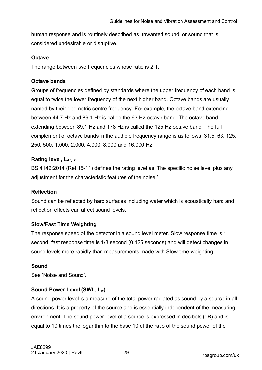human response and is routinely described as unwanted sound, or sound that is considered undesirable or disruptive.

#### **Octave**

The range between two frequencies whose ratio is 2:1.

#### **Octave bands**

Groups of frequencies defined by standards where the upper frequency of each band is equal to twice the lower frequency of the next higher band. Octave bands are usually named by their geometric centre frequency. For example, the octave band extending between 44.7 Hz and 89.1 Hz is called the 63 Hz octave band. The octave band extending between 89.1 Hz and 178 Hz is called the 125 Hz octave band. The full complement of octave bands in the audible frequency range is as follows: 31.5, 63, 125, 250, 500, 1,000, 2,000, 4,000, 8,000 and 16,000 Hz.

## **Rating level, LAr,Tr**

BS 4142:2014 (Ref 15-11) defines the rating level as 'The specific noise level plus any adjustment for the characteristic features of the noise.'

#### **Reflection**

Sound can be reflected by hard surfaces including water which is acoustically hard and reflection effects can affect sound levels.

#### **Slow/Fast Time Weighting**

The response speed of the detector in a sound level meter. Slow response time is 1 second; fast response time is 1/8 second (0.125 seconds) and will detect changes in sound levels more rapidly than measurements made with Slow time-weighting.

#### **Sound**

See 'Noise and Sound'.

#### **Sound Power Level (SWL, Lw)**

A sound power level is a measure of the total power radiated as sound by a source in all directions. It is a property of the source and is essentially independent of the measuring environment. The sound power level of a source is expressed in decibels (dB) and is equal to 10 times the logarithm to the base 10 of the ratio of the sound power of the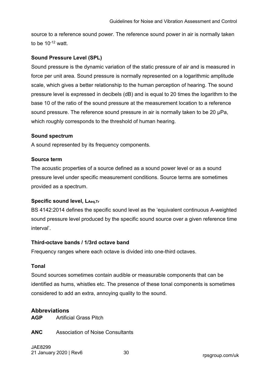source to a reference sound power. The reference sound power in air is normally taken to be  $10^{-12}$  watt.

#### **Sound Pressure Level (SPL)**

Sound pressure is the dynamic variation of the static pressure of air and is measured in force per unit area. Sound pressure is normally represented on a logarithmic amplitude scale, which gives a better relationship to the human perception of hearing. The sound pressure level is expressed in decibels (dB) and is equal to 20 times the logarithm to the base 10 of the ratio of the sound pressure at the measurement location to a reference sound pressure. The reference sound pressure in air is normally taken to be 20 µPa, which roughly corresponds to the threshold of human hearing.

#### **Sound spectrum**

A sound represented by its frequency components.

#### **Source term**

The acoustic properties of a source defined as a sound power level or as a sound pressure level under specific measurement conditions. Source terms are sometimes provided as a spectrum.

#### **Specific sound level, LAeg,Tr**

BS 4142:2014 defines the specific sound level as the 'equivalent continuous A-weighted sound pressure level produced by the specific sound source over a given reference time interval'.

#### **Third-octave bands / 1/3rd octave band**

Frequency ranges where each octave is divided into one-third octaves.

#### **Tonal**

Sound sources sometimes contain audible or measurable components that can be identified as hums, whistles etc. The presence of these tonal components is sometimes considered to add an extra, annoying quality to the sound.

#### <span id="page-33-0"></span>**Abbreviations**

**AGP** Artificial Grass Pitch

**ANC** Association of Noise Consultants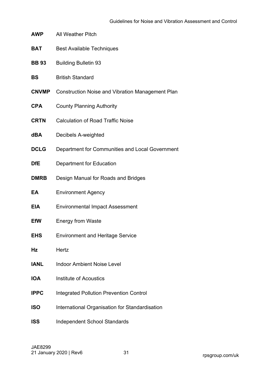| <b>AWP</b> | <b>All Weather Pitch</b> |
|------------|--------------------------|
|------------|--------------------------|

- **BAT** Best Available Techniques
- **BB 93** Building Bulletin 93
- **BS** British Standard
- **CNVMP** Construction Noise and Vibration Management Plan
- **CPA** County Planning Authority
- **CRTN** Calculation of Road Traffic Noise
- **dBA** Decibels A-weighted
- **DCLG** Department for Communities and Local Government
- **DfE** Department for Education
- **DMRB** Design Manual for Roads and Bridges
- **EA** Environment Agency
- **EIA** Environmental Impact Assessment
- **EfW** Energy from Waste
- **EHS** Environment and Heritage Service
- **Hz** Hertz
- **IANL** Indoor Ambient Noise Level
- **IOA** Institute of Acoustics
- **IPPC** Integrated Pollution Prevention Control
- **ISO** International Organisation for Standardisation
- **ISS** Independent School Standards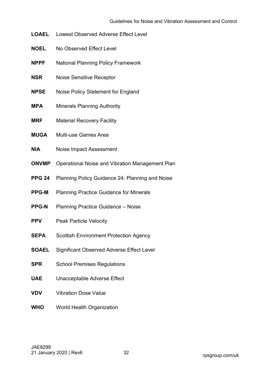- **LOAEL** Lowest Observed Adverse Effect Level
- **NOEL** No Observed Effect Level
- **NPPF** National Planning Policy Framework
- **NSR** Noise Sensitive Receptor
- **NPSE** Noise Policy Statement for England
- **MPA** Minerals Planning Authority
- **MRF** Material Recovery Facility
- **MUGA** Multi-use Games Area
- **NIA** Noise Impact Assessment
- **ONVMP** Operational Noise and Vibration Management Plan
- **PPG 24** Planning Policy Guidance 24: Planning and Noise
- **PPG-M** Planning Practice Guidance for Minerals
- **PPG-N** Planning Practice Guidance Noise
- **PPV** Peak Particle Velocity
- **SEPA** Scottish Environment Protection Agency
- **SOAEL** Significant Observed Adverse Effect Level
- **SPR** School Premises Regulations
- **UAE** Unacceptable Adverse Effect
- **VDV** Vibration Dose Value
- **WHO** World Health Organization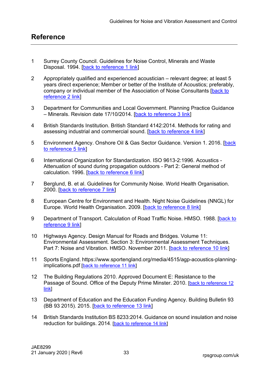- <span id="page-36-1"></span><span id="page-36-0"></span>1 Surrey County Council. Guidelines for Noise Control, Minerals and Waste Disposal. 1994. [\[back to reference 1 link\]](#page-4-2)
- 2 Appropriately qualified and experienced acoustician relevant degree; at least 5 years direct experience; Member or better of the Institute of Acoustics; preferably, company or individual member of the Association of Noise Consultants [\[back to](#page-5-2)  [reference 2 link\]](#page-5-2)
- 3 Department for Communities and Local Government. Planning Practice Guidance – Minerals. Revision date 17/10/2014. [\[back to reference 3 link\]](#page-8-0)
- assessing industrial and commercial sound. [<mark>back to reference 4 link]</mark> 4 British Standards Institution. British Standard 4142:2014. Methods for rating and
- <u>[to reference 5 link](#page-10-1)</u>] 5 Environment Agency. Onshore Oil & Gas Sector Guidance. Version 1. 2016. [back]
- calculation. 1996. [<mark>back to reference 6 link</mark>] 6 International Organization for Standardization. ISO 9613-2:1996. Acoustics - Attenuation of sound during propagation outdoors - Part 2: General method of
- 2000. [<u>back to reference 7 link</u>] 7 Berglund, B. et al. Guidelines for Community Noise. World Health Organisation.
- Europe. World Health Organisation. 2009. [\[back to reference 8 link](#page-16-2)] 8 European Centre for Environment and Health. Night Noise Guidelines (NNGL) for
- <u>[reference 9 link](#page-18-4)]</u> 9 Department of Transport. Calculation of Road Traffic Noise. HMSO. 1988. [back to
- Part 7: Noise and Vibration. HMSO. November 2011. [\[back to reference 10 link](#page-18-5)] 10 Highways Agency. Design Manual for Roads and Bridges. Volume 11: Environmental Assessment. Section 3: Environmental Assessment Techniques.
- [implications.pdf](https://www.sportengland.org/media/4515/agp-acoustics-planning-implications.pdf) <u>[\[back to reference 11 link](#page-20-0)</u>] 11 Sports England. [https://www.sportengland.org/media/4515/agp-acoustics-planning-](https://www.sportengland.org/media/4515/agp-acoustics-planning-implications.pdf)
- <u>[link](#page-22-2)</u>] 12 The Building Regulations 2010. Approved Document E: Resistance to the Passage of Sound. Office of the Deputy Prime Minster. 2010. [\[back to reference 12](#page-22-2)
- (BB 93 2015). 2015. [\[back to reference 13 link](#page-22-3)] 13 Department of Education and the Education Funding Agency. Building Bulletin 93
- reduction for buildings. 2014. <u>[\[back to reference 14 link](#page-23-0)</u>] 14 British Standards Institution BS 8233:2014. Guidance on sound insulation and noise